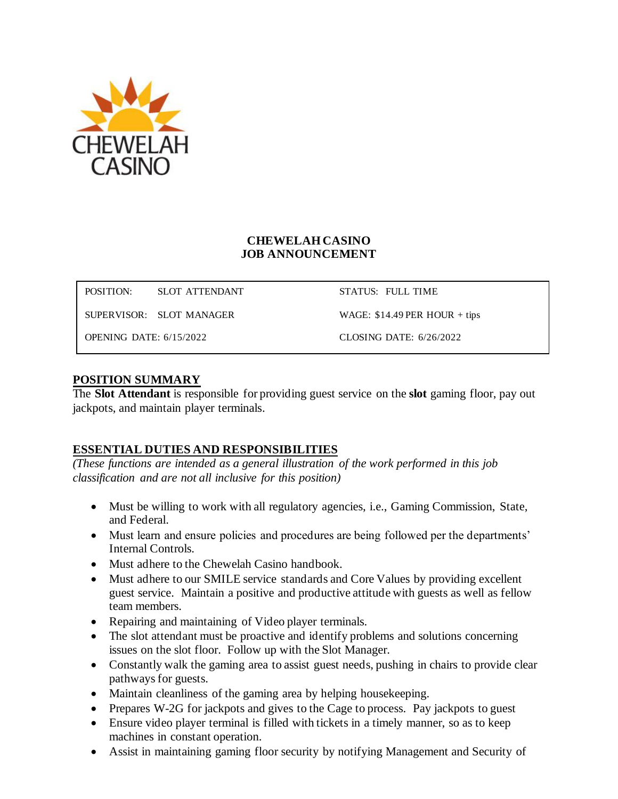

### **CHEWELAH CASINO JOB ANNOUNCEMENT**

POSITION: SLOT ATTENDANT STATUS: FULL TIME

SUPERVISOR: SLOT MANAGER WAGE: \$14.49 PER HOUR + tips

OPENING DATE: 6/15/2022 CLOSING DATE: 6/26/2022

### **POSITION SUMMARY**

The **Slot Attendant** is responsible for providing guest service on the **slot** gaming floor, pay out jackpots, and maintain player terminals.

### **ESSENTIAL DUTIES AND RESPONSIBILITIES**

*(These functions are intended as a general illustration of the work performed in this job classification and are not all inclusive for this position)*

- Must be willing to work with all regulatory agencies, i.e., Gaming Commission, State, and Federal.
- Must learn and ensure policies and procedures are being followed per the departments' Internal Controls.
- Must adhere to the Chewelah Casino handbook.
- Must adhere to our SMILE service standards and Core Values by providing excellent guest service. Maintain a positive and productive attitude with guests as well as fellow team members.
- Repairing and maintaining of Video player terminals.
- The slot attendant must be proactive and identify problems and solutions concerning issues on the slot floor. Follow up with the Slot Manager.
- Constantly walk the gaming area to assist guest needs, pushing in chairs to provide clear pathways for guests.
- Maintain cleanliness of the gaming area by helping house keeping.
- Prepares W-2G for jackpots and gives to the Cage to process. Pay jackpots to guest
- Ensure video player terminal is filled with tickets in a timely manner, so as to keep machines in constant operation.
- Assist in maintaining gaming floor security by notifying Management and Security of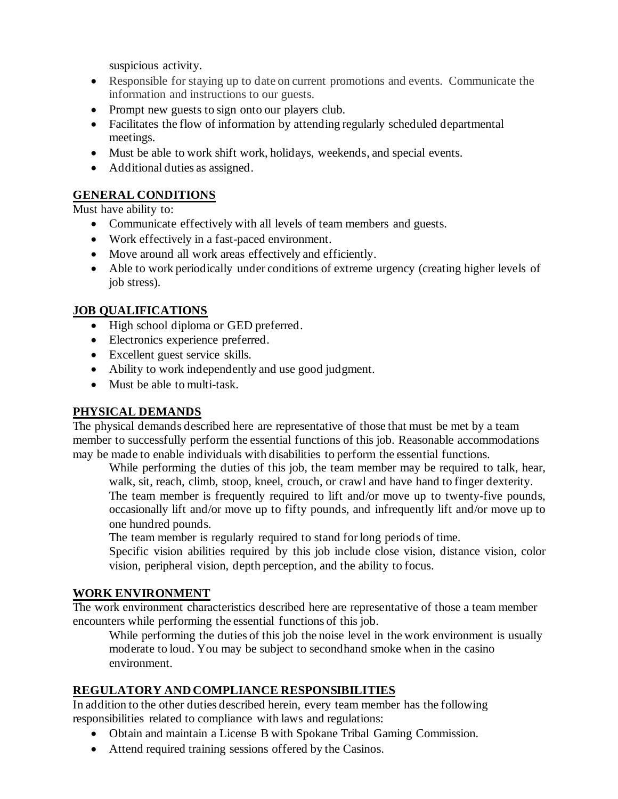suspicious activity.

- Responsible for staying up to date on current promotions and events. Communicate the information and instructions to our guests.
- Prompt new guests to sign onto our players club.
- Facilitates the flow of information by attending regularly scheduled departmental meetings.
- Must be able to work shift work, holidays, weekends, and special events.
- Additional duties as assigned.

# **GENERAL CONDITIONS**

Must have ability to:

- Communicate effectively with all levels of team members and guests.
- Work effectively in a fast-paced environment.
- Move around all work areas effectively and efficiently.
- Able to work periodically under conditions of extreme urgency (creating higher levels of job stress).

## **JOB QUALIFICATIONS**

- High school diploma or GED preferred.
- Electronics experience preferred.
- Excellent guest service skills.
- Ability to work independently and use good judgment.
- Must be able to multi-task.

### **PHYSICAL DEMANDS**

The physical demands described here are representative of those that must be met by a team member to successfully perform the essential functions of this job. Reasonable accommodations may be made to enable individuals with disabilities to perform the essential functions.

While performing the duties of this job, the team member may be required to talk, hear, walk, sit, reach, climb, stoop, kneel, crouch, or crawl and have hand to finger dexterity. The team member is frequently required to lift and/or move up to twenty-five pounds, occasionally lift and/or move up to fifty pounds, and infrequently lift and/or move up to one hundred pounds.

The team member is regularly required to stand for long periods of time.

Specific vision abilities required by this job include close vision, distance vision, color vision, peripheral vision, depth perception, and the ability to focus.

### **WORK ENVIRONMENT**

The work environment characteristics described here are representative of those a team member encounters while performing the essential functions of this job.

While performing the duties of this job the noise level in the work environment is usually moderate to loud. You may be subject to secondhand smoke when in the casino environment.

### **REGULATORY AND COMPLIANCE RESPONSIBILITIES**

In addition to the other duties described herein, every team member has the following responsibilities related to compliance with laws and regulations:

- Obtain and maintain a License B with Spokane Tribal Gaming Commission.
- Attend required training sessions offered by the Casinos.